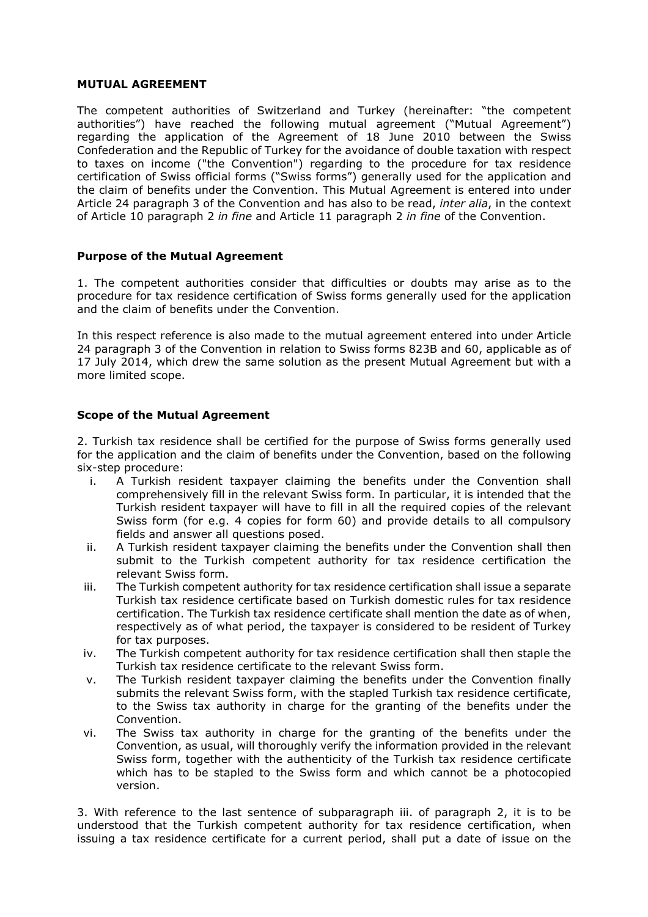## **MUTUAL AGREEMENT**

The competent authorities of Switzerland and Turkey (hereinafter: "the competent authorities") have reached the following mutual agreement ("Mutual Agreement") regarding the application of the Agreement of 18 June 2010 between the Swiss Confederation and the Republic of Turkey for the avoidance of double taxation with respect to taxes on income ("the Convention") regarding to the procedure for tax residence certification of Swiss official forms ("Swiss forms") generally used for the application and the claim of benefits under the Convention. This Mutual Agreement is entered into under Article 24 paragraph 3 of the Convention and has also to be read, *inter alia*, in the context of Article 10 paragraph 2 *in fine* and Article 11 paragraph 2 *in fine* of the Convention.

## **Purpose of the Mutual Agreement**

1. The competent authorities consider that difficulties or doubts may arise as to the procedure for tax residence certification of Swiss forms generally used for the application and the claim of benefits under the Convention.

In this respect reference is also made to the mutual agreement entered into under Article 24 paragraph 3 of the Convention in relation to Swiss forms 823B and 60, applicable as of 17 July 2014, which drew the same solution as the present Mutual Agreement but with a more limited scope.

## **Scope of the Mutual Agreement**

2. Turkish tax residence shall be certified for the purpose of Swiss forms generally used for the application and the claim of benefits under the Convention, based on the following six-step procedure:

- i. A Turkish resident taxpayer claiming the benefits under the Convention shall comprehensively fill in the relevant Swiss form. In particular, it is intended that the Turkish resident taxpayer will have to fill in all the required copies of the relevant Swiss form (for e.g. 4 copies for form 60) and provide details to all compulsory fields and answer all questions posed.
- ii. A Turkish resident taxpayer claiming the benefits under the Convention shall then submit to the Turkish competent authority for tax residence certification the relevant Swiss form.
- iii. The Turkish competent authority for tax residence certification shall issue a separate Turkish tax residence certificate based on Turkish domestic rules for tax residence certification. The Turkish tax residence certificate shall mention the date as of when, respectively as of what period, the taxpayer is considered to be resident of Turkey for tax purposes.
- iv. The Turkish competent authority for tax residence certification shall then staple the Turkish tax residence certificate to the relevant Swiss form.
- v. The Turkish resident taxpayer claiming the benefits under the Convention finally submits the relevant Swiss form, with the stapled Turkish tax residence certificate, to the Swiss tax authority in charge for the granting of the benefits under the Convention.
- vi. The Swiss tax authority in charge for the granting of the benefits under the Convention, as usual, will thoroughly verify the information provided in the relevant Swiss form, together with the authenticity of the Turkish tax residence certificate which has to be stapled to the Swiss form and which cannot be a photocopied version.

3. With reference to the last sentence of subparagraph iii. of paragraph 2, it is to be understood that the Turkish competent authority for tax residence certification, when issuing a tax residence certificate for a current period, shall put a date of issue on the